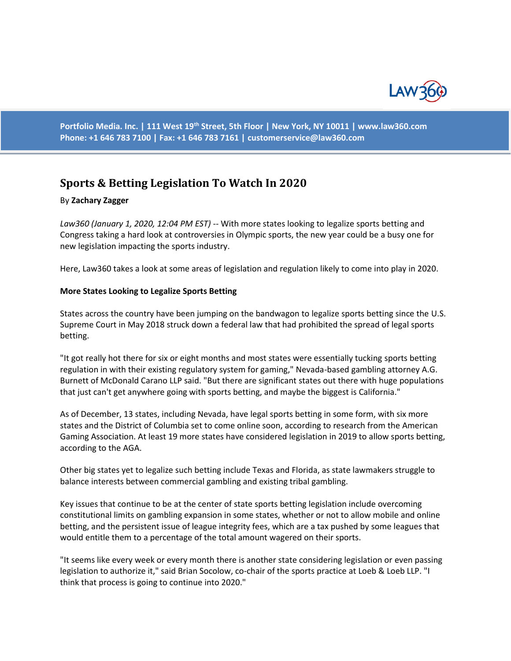

**Portfolio Media. Inc. | 111 West 19th Street, 5th Floor | New York, NY 10011 | www.law360.com Phone: +1 646 783 7100 | Fax: +1 646 783 7161 | [customerservice@law360.com](mailto:customerservice@law360.com)**

# **Sports & Betting Legislation To Watch In 2020**

#### By **Zachary Zagger**

*Law360 (January 1, 2020, 12:04 PM EST)* -- With more states looking to legalize sports betting and Congress taking a hard look at controversies in Olympic sports, the new year could be a busy one for new legislation impacting the sports industry.

Here, Law360 takes a look at some areas of legislation and regulation likely to come into play in 2020.

#### **More States Looking to Legalize Sports Betting**

States across the country have been jumping on the bandwagon to legalize sports betting since the U.S. Supreme Court in May 2018 struck down a federal law that had prohibited the spread of legal sports betting.

"It got really hot there for six or eight months and most states were essentially tucking sports betting regulation in with their existing regulatory system for gaming," Nevada-based gambling attorney A.G. Burnett of McDonald Carano LLP said. "But there are significant states out there with huge populations that just can't get anywhere going with sports betting, and maybe the biggest is California."

As of December, 13 states, including Nevada, have legal sports betting in some form, with six more states and the District of Columbia set to come online soon, according to research from the American Gaming Association. At least 19 more states have considered legislation in 2019 to allow sports betting, according to the AGA.

Other big states yet to legalize such betting include Texas and Florida, as state lawmakers struggle to balance interests between commercial gambling and existing tribal gambling.

Key issues that continue to be at the center of state sports betting legislation include overcoming constitutional limits on gambling expansion in some states, whether or not to allow mobile and online betting, and the persistent issue of league integrity fees, which are a tax pushed by some leagues that would entitle them to a percentage of the total amount wagered on their sports.

"It seems like every week or every month there is another state considering legislation or even passing legislation to authorize it," said Brian Socolow, co-chair of the sports practice at Loeb & Loeb LLP. "I think that process is going to continue into 2020."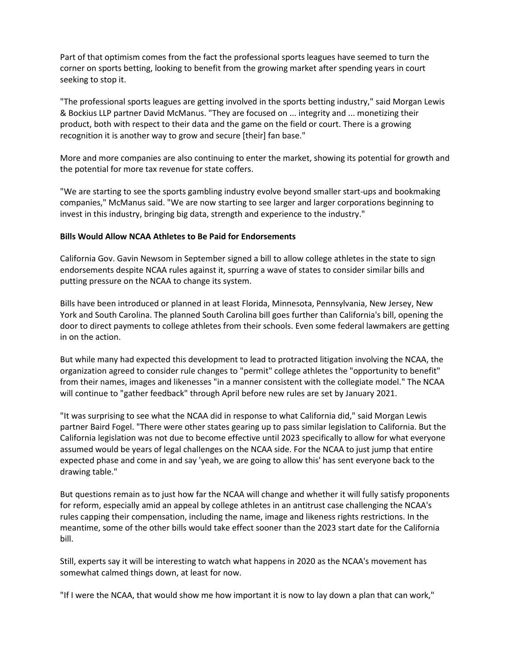Part of that optimism comes from the fact the professional sports leagues have seemed to turn the corner on sports betting, looking to benefit from the growing market after spending years in court seeking to stop it.

"The professional sports leagues are getting involved in the sports betting industry," said Morgan Lewis & Bockius LLP partner David McManus. "They are focused on ... integrity and ... monetizing their product, both with respect to their data and the game on the field or court. There is a growing recognition it is another way to grow and secure [their] fan base."

More and more companies are also continuing to enter the market, showing its potential for growth and the potential for more tax revenue for state coffers.

"We are starting to see the sports gambling industry evolve beyond smaller start-ups and bookmaking companies," McManus said. "We are now starting to see larger and larger corporations beginning to invest in this industry, bringing big data, strength and experience to the industry."

## **Bills Would Allow NCAA Athletes to Be Paid for Endorsements**

California Gov. Gavin Newsom in September signed a bill to allow college athletes in the state to sign endorsements despite NCAA rules against it, spurring a wave of states to consider similar bills and putting pressure on the NCAA to change its system.

Bills have been introduced or planned in at least Florida, Minnesota, Pennsylvania, New Jersey, New York and South Carolina. The planned South Carolina bill goes further than California's bill, opening the door to direct payments to college athletes from their schools. Even some federal lawmakers are getting in on the action.

But while many had expected this development to lead to protracted litigation involving the NCAA, the organization agreed to consider rule changes to "permit" college athletes the "opportunity to benefit" from their names, images and likenesses "in a manner consistent with the collegiate model." The NCAA will continue to "gather feedback" through April before new rules are set by January 2021.

"It was surprising to see what the NCAA did in response to what California did," said Morgan Lewis partner Baird Fogel. "There were other states gearing up to pass similar legislation to California. But the California legislation was not due to become effective until 2023 specifically to allow for what everyone assumed would be years of legal challenges on the NCAA side. For the NCAA to just jump that entire expected phase and come in and say 'yeah, we are going to allow this' has sent everyone back to the drawing table."

But questions remain as to just how far the NCAA will change and whether it will fully satisfy proponents for reform, especially amid an appeal by college athletes in an antitrust case challenging the NCAA's rules capping their compensation, including the name, image and likeness rights restrictions. In the meantime, some of the other bills would take effect sooner than the 2023 start date for the California bill.

Still, experts say it will be interesting to watch what happens in 2020 as the NCAA's movement has somewhat calmed things down, at least for now.

"If I were the NCAA, that would show me how important it is now to lay down a plan that can work,"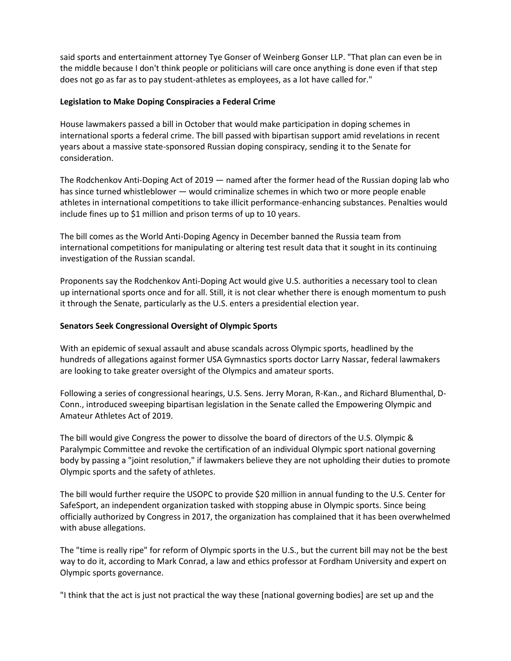said sports and entertainment attorney Tye Gonser of Weinberg Gonser LLP. "That plan can even be in the middle because I don't think people or politicians will care once anything is done even if that step does not go as far as to pay student-athletes as employees, as a lot have called for."

### **Legislation to Make Doping Conspiracies a Federal Crime**

House lawmakers passed a bill in October that would make participation in doping schemes in international sports a federal crime. The bill passed with bipartisan support amid revelations in recent years about a massive state-sponsored Russian doping conspiracy, sending it to the Senate for consideration.

The Rodchenkov Anti-Doping Act of 2019 — named after the former head of the Russian doping lab who has since turned whistleblower — would criminalize schemes in which two or more people enable athletes in international competitions to take illicit performance-enhancing substances. Penalties would include fines up to \$1 million and prison terms of up to 10 years.

The bill comes as the World Anti-Doping Agency in December banned the Russia team from international competitions for manipulating or altering test result data that it sought in its continuing investigation of the Russian scandal.

Proponents say the Rodchenkov Anti-Doping Act would give U.S. authorities a necessary tool to clean up international sports once and for all. Still, it is not clear whether there is enough momentum to push it through the Senate, particularly as the U.S. enters a presidential election year.

## **Senators Seek Congressional Oversight of Olympic Sports**

With an epidemic of sexual assault and abuse scandals across Olympic sports, headlined by the hundreds of allegations against former USA Gymnastics sports doctor Larry Nassar, federal lawmakers are looking to take greater oversight of the Olympics and amateur sports.

Following a series of congressional hearings, U.S. Sens. Jerry Moran, R-Kan., and Richard Blumenthal, D-Conn., introduced sweeping bipartisan legislation in the Senate called the Empowering Olympic and Amateur Athletes Act of 2019.

The bill would give Congress the power to dissolve the board of directors of the U.S. Olympic & Paralympic Committee and revoke the certification of an individual Olympic sport national governing body by passing a "joint resolution," if lawmakers believe they are not upholding their duties to promote Olympic sports and the safety of athletes.

The bill would further require the USOPC to provide \$20 million in annual funding to the U.S. Center for SafeSport, an independent organization tasked with stopping abuse in Olympic sports. Since being officially authorized by Congress in 2017, the organization has complained that it has been overwhelmed with abuse allegations.

The "time is really ripe" for reform of Olympic sports in the U.S., but the current bill may not be the best way to do it, according to Mark Conrad, a law and ethics professor at Fordham University and expert on Olympic sports governance.

"I think that the act is just not practical the way these [national governing bodies] are set up and the